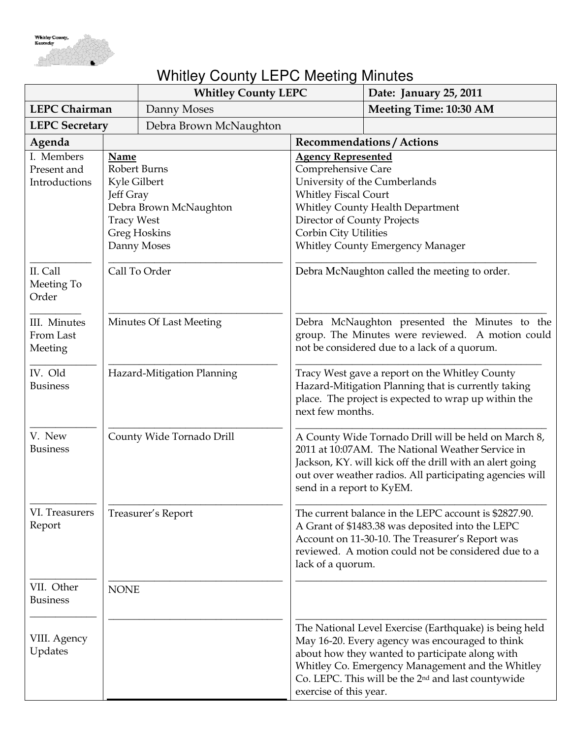

## Whitley County LEPC Meeting Minutes

|                                            |                                                                        | <b>Whitley County LEPC</b>                            |                                                                                                                                                                                   | Date: January 25, 2011                                                                                                                                                                                                                                                             |
|--------------------------------------------|------------------------------------------------------------------------|-------------------------------------------------------|-----------------------------------------------------------------------------------------------------------------------------------------------------------------------------------|------------------------------------------------------------------------------------------------------------------------------------------------------------------------------------------------------------------------------------------------------------------------------------|
| <b>LEPC Chairman</b>                       |                                                                        | Danny Moses                                           |                                                                                                                                                                                   | <b>Meeting Time: 10:30 AM</b>                                                                                                                                                                                                                                                      |
| <b>LEPC Secretary</b>                      |                                                                        | Debra Brown McNaughton                                |                                                                                                                                                                                   |                                                                                                                                                                                                                                                                                    |
| Agenda                                     |                                                                        |                                                       |                                                                                                                                                                                   | <b>Recommendations / Actions</b>                                                                                                                                                                                                                                                   |
| I. Members<br>Present and<br>Introductions | Name<br>Robert Burns<br>Kyle Gilbert<br>Jeff Gray<br><b>Tracy West</b> | Debra Brown McNaughton<br>Greg Hoskins<br>Danny Moses | <b>Agency Represented</b><br>Comprehensive Care<br><b>Whitley Fiscal Court</b><br>Director of County Projects<br>Corbin City Utilities                                            | University of the Cumberlands<br>Whitley County Health Department<br><b>Whitley County Emergency Manager</b>                                                                                                                                                                       |
| II. Call<br>Meeting To<br>Order            | Call To Order                                                          |                                                       |                                                                                                                                                                                   | Debra McNaughton called the meeting to order.                                                                                                                                                                                                                                      |
| III. Minutes<br>From Last<br>Meeting       | Minutes Of Last Meeting                                                |                                                       | Debra McNaughton presented the Minutes to the<br>group. The Minutes were reviewed. A motion could<br>not be considered due to a lack of a quorum.                                 |                                                                                                                                                                                                                                                                                    |
| IV. Old<br><b>Business</b>                 | Hazard-Mitigation Planning                                             |                                                       | Tracy West gave a report on the Whitley County<br>Hazard-Mitigation Planning that is currently taking<br>place. The project is expected to wrap up within the<br>next few months. |                                                                                                                                                                                                                                                                                    |
| V. New<br><b>Business</b>                  | County Wide Tornado Drill                                              |                                                       | send in a report to KyEM.                                                                                                                                                         | A County Wide Tornado Drill will be held on March 8,<br>2011 at 10:07AM. The National Weather Service in<br>Jackson, KY. will kick off the drill with an alert going<br>out over weather radios. All participating agencies will                                                   |
| VI. Treasurers<br>Report                   |                                                                        | Treasurer's Report                                    | lack of a quorum.                                                                                                                                                                 | The current balance in the LEPC account is \$2827.90.<br>A Grant of \$1483.38 was deposited into the LEPC<br>Account on 11-30-10. The Treasurer's Report was<br>reviewed. A motion could not be considered due to a                                                                |
| VII. Other<br><b>Business</b>              | <b>NONE</b>                                                            |                                                       |                                                                                                                                                                                   |                                                                                                                                                                                                                                                                                    |
| VIII. Agency<br>Updates                    |                                                                        |                                                       | exercise of this year.                                                                                                                                                            | The National Level Exercise (Earthquake) is being held<br>May 16-20. Every agency was encouraged to think<br>about how they wanted to participate along with<br>Whitley Co. Emergency Management and the Whitley<br>Co. LEPC. This will be the 2 <sup>nd</sup> and last countywide |